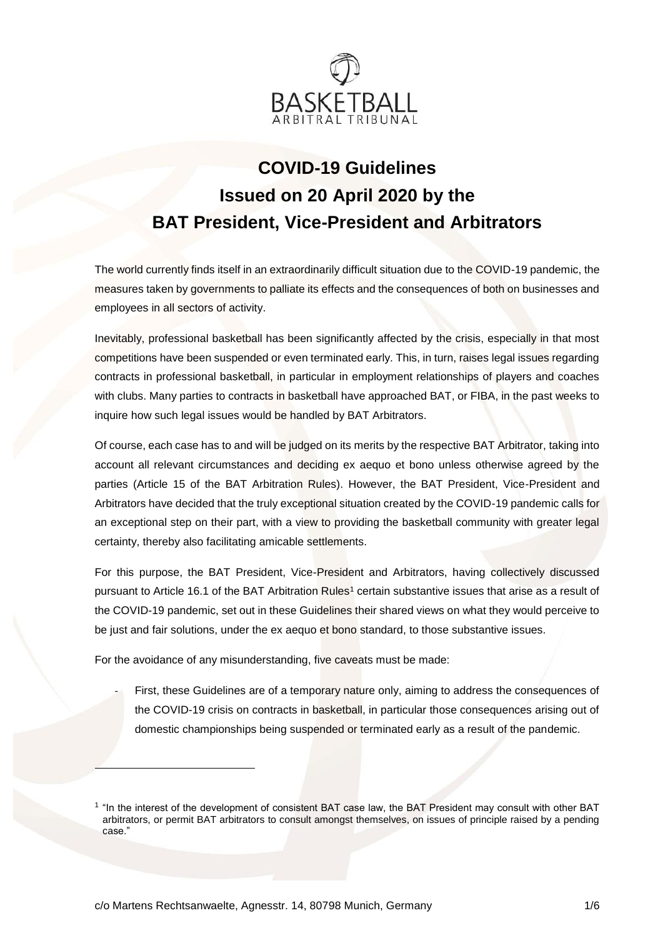

# **COVID-19 Guidelines Issued on 20 April 2020 by the BAT President, Vice-President and Arbitrators**

The world currently finds itself in an extraordinarily difficult situation due to the COVID-19 pandemic, the measures taken by governments to palliate its effects and the consequences of both on businesses and employees in all sectors of activity.

Inevitably, professional basketball has been significantly affected by the crisis, especially in that most competitions have been suspended or even terminated early. This, in turn, raises legal issues regarding contracts in professional basketball, in particular in employment relationships of players and coaches with clubs. Many parties to contracts in basketball have approached BAT, or FIBA, in the past weeks to inquire how such legal issues would be handled by BAT Arbitrators.

Of course, each case has to and will be judged on its merits by the respective BAT Arbitrator, taking into account all relevant circumstances and deciding ex aequo et bono unless otherwise agreed by the parties (Article 15 of the BAT Arbitration Rules). However, the BAT President, Vice-President and Arbitrators have decided that the truly exceptional situation created by the COVID-19 pandemic calls for an exceptional step on their part, with a view to providing the basketball community with greater legal certainty, thereby also facilitating amicable settlements.

For this purpose, the BAT President, Vice-President and Arbitrators, having collectively discussed pursuant to Article 16.1 of the BAT Arbitration Rules<sup>1</sup> certain substantive issues that arise as a result of the COVID-19 pandemic, set out in these Guidelines their shared views on what they would perceive to be just and fair solutions, under the ex aequo et bono standard, to those substantive issues.

For the avoidance of any misunderstanding, five caveats must be made:

First, these Guidelines are of a temporary nature only, aiming to address the consequences of the COVID-19 crisis on contracts in basketball, in particular those consequences arising out of domestic championships being suspended or terminated early as a result of the pandemic.

1

<sup>&</sup>lt;sup>1</sup> "In the interest of the development of consistent BAT case law, the BAT President may consult with other BAT arbitrators, or permit BAT arbitrators to consult amongst themselves, on issues of principle raised by a pending case."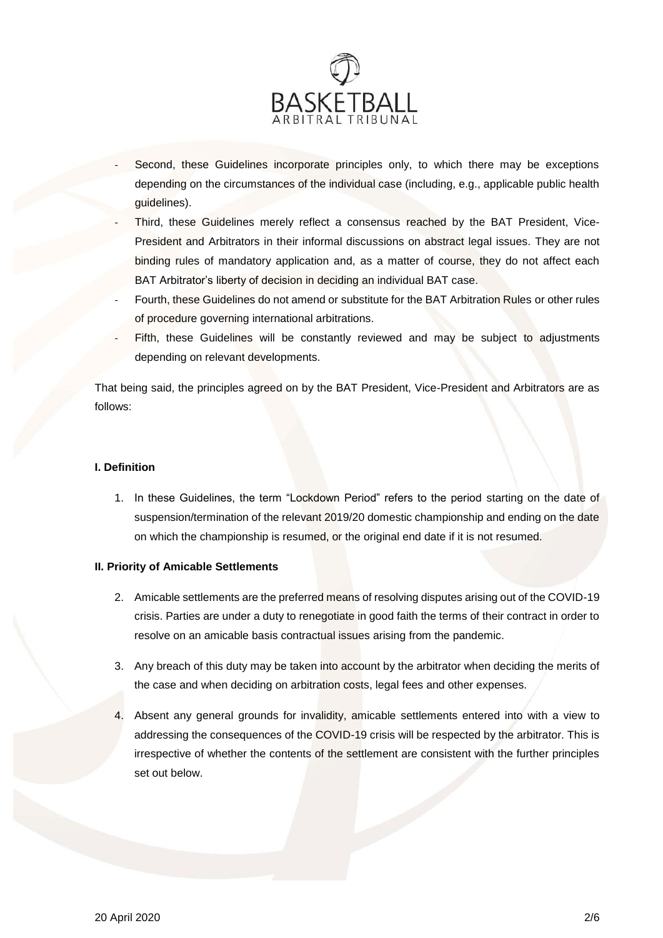

- Second, these Guidelines incorporate principles only, to which there may be exceptions depending on the circumstances of the individual case (including, e.g., applicable public health guidelines).
- Third, these Guidelines merely reflect a consensus reached by the BAT President, Vice-President and Arbitrators in their informal discussions on abstract legal issues. They are not binding rules of mandatory application and, as a matter of course, they do not affect each BAT Arbitrator's liberty of decision in deciding an individual BAT case.
- Fourth, these Guidelines do not amend or substitute for the BAT Arbitration Rules or other rules of procedure governing international arbitrations.
- Fifth, these Guidelines will be constantly reviewed and may be subject to adjustments depending on relevant developments.

That being said, the principles agreed on by the BAT President, Vice-President and Arbitrators are as follows:

# **I. Definition**

1. In these Guidelines, the term "Lockdown Period" refers to the period starting on the date of suspension/termination of the relevant 2019/20 domestic championship and ending on the date on which the championship is resumed, or the original end date if it is not resumed.

# **II. Priority of Amicable Settlements**

- 2. Amicable settlements are the preferred means of resolving disputes arising out of the COVID-19 crisis. Parties are under a duty to renegotiate in good faith the terms of their contract in order to resolve on an amicable basis contractual issues arising from the pandemic.
- 3. Any breach of this duty may be taken into account by the arbitrator when deciding the merits of the case and when deciding on arbitration costs, legal fees and other expenses.
- 4. Absent any general grounds for invalidity, amicable settlements entered into with a view to addressing the consequences of the COVID-19 crisis will be respected by the arbitrator. This is irrespective of whether the contents of the settlement are consistent with the further principles set out below.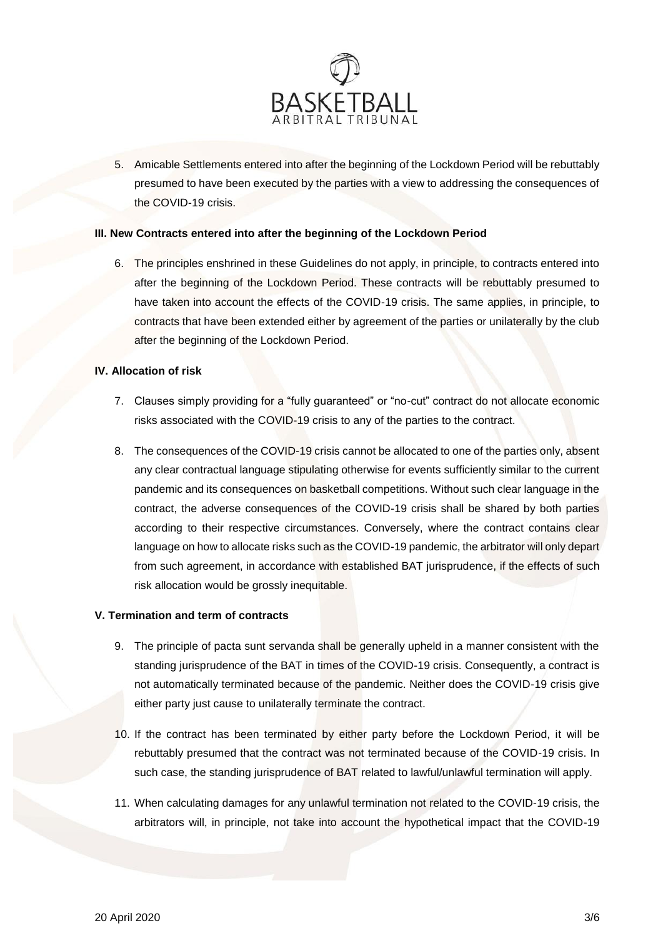

5. Amicable Settlements entered into after the beginning of the Lockdown Period will be rebuttably presumed to have been executed by the parties with a view to addressing the consequences of the COVID-19 crisis.

## **III. New Contracts entered into after the beginning of the Lockdown Period**

6. The principles enshrined in these Guidelines do not apply, in principle, to contracts entered into after the beginning of the Lockdown Period. These contracts will be rebuttably presumed to have taken into account the effects of the COVID-19 crisis. The same applies, in principle, to contracts that have been extended either by agreement of the parties or unilaterally by the club after the beginning of the Lockdown Period.

## **IV. Allocation of risk**

- 7. Clauses simply providing for a "fully guaranteed" or "no-cut" contract do not allocate economic risks associated with the COVID-19 crisis to any of the parties to the contract.
- 8. The consequences of the COVID-19 crisis cannot be allocated to one of the parties only, absent any clear contractual language stipulating otherwise for events sufficiently similar to the current pandemic and its consequences on basketball competitions. Without such clear language in the contract, the adverse consequences of the COVID-19 crisis shall be shared by both parties according to their respective circumstances. Conversely, where the contract contains clear language on how to allocate risks such as the COVID-19 pandemic, the arbitrator will only depart from such agreement, in accordance with established BAT jurisprudence, if the effects of such risk allocation would be grossly inequitable.

## **V. Termination and term of contracts**

- 9. The principle of pacta sunt servanda shall be generally upheld in a manner consistent with the standing jurisprudence of the BAT in times of the COVID-19 crisis. Consequently, a contract is not automatically terminated because of the pandemic. Neither does the COVID-19 crisis give either party just cause to unilaterally terminate the contract.
- 10. If the contract has been terminated by either party before the Lockdown Period, it will be rebuttably presumed that the contract was not terminated because of the COVID-19 crisis. In such case, the standing jurisprudence of BAT related to lawful/unlawful termination will apply.
- 11. When calculating damages for any unlawful termination not related to the COVID-19 crisis, the arbitrators will, in principle, not take into account the hypothetical impact that the COVID-19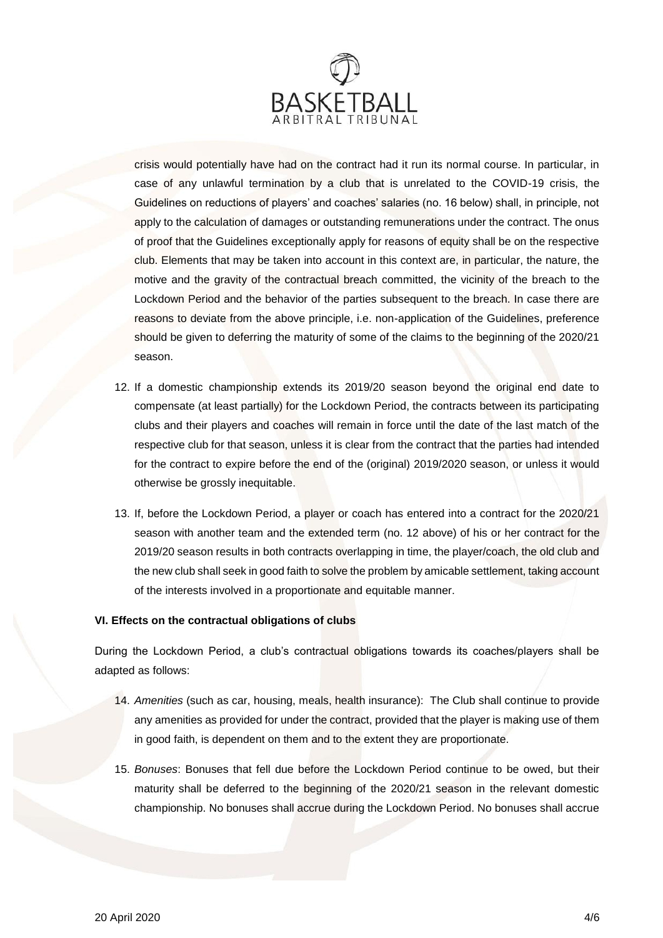

crisis would potentially have had on the contract had it run its normal course. In particular, in case of any unlawful termination by a club that is unrelated to the COVID-19 crisis, the Guidelines on reductions of players' and coaches' salaries (no. 16 below) shall, in principle, not apply to the calculation of damages or outstanding remunerations under the contract. The onus of proof that the Guidelines exceptionally apply for reasons of equity shall be on the respective club. Elements that may be taken into account in this context are, in particular, the nature, the motive and the gravity of the contractual breach committed, the vicinity of the breach to the Lockdown Period and the behavior of the parties subsequent to the breach. In case there are reasons to deviate from the above principle, i.e. non-application of the Guidelines, preference should be given to deferring the maturity of some of the claims to the beginning of the 2020/21 season.

- 12. If a domestic championship extends its 2019/20 season beyond the original end date to compensate (at least partially) for the Lockdown Period, the contracts between its participating clubs and their players and coaches will remain in force until the date of the last match of the respective club for that season, unless it is clear from the contract that the parties had intended for the contract to expire before the end of the (original) 2019/2020 season, or unless it would otherwise be grossly inequitable.
- 13. If, before the Lockdown Period, a player or coach has entered into a contract for the 2020/21 season with another team and the extended term (no. 12 above) of his or her contract for the 2019/20 season results in both contracts overlapping in time, the player/coach, the old club and the new club shall seek in good faith to solve the problem by amicable settlement, taking account of the interests involved in a proportionate and equitable manner.

## **VI. Effects on the contractual obligations of clubs**

During the Lockdown Period, a club's contractual obligations towards its coaches/players shall be adapted as follows:

- 14. *Amenities* (such as car, housing, meals, health insurance): The Club shall continue to provide any amenities as provided for under the contract, provided that the player is making use of them in good faith, is dependent on them and to the extent they are proportionate.
- 15. *Bonuses*: Bonuses that fell due before the Lockdown Period continue to be owed, but their maturity shall be deferred to the beginning of the 2020/21 season in the relevant domestic championship. No bonuses shall accrue during the Lockdown Period. No bonuses shall accrue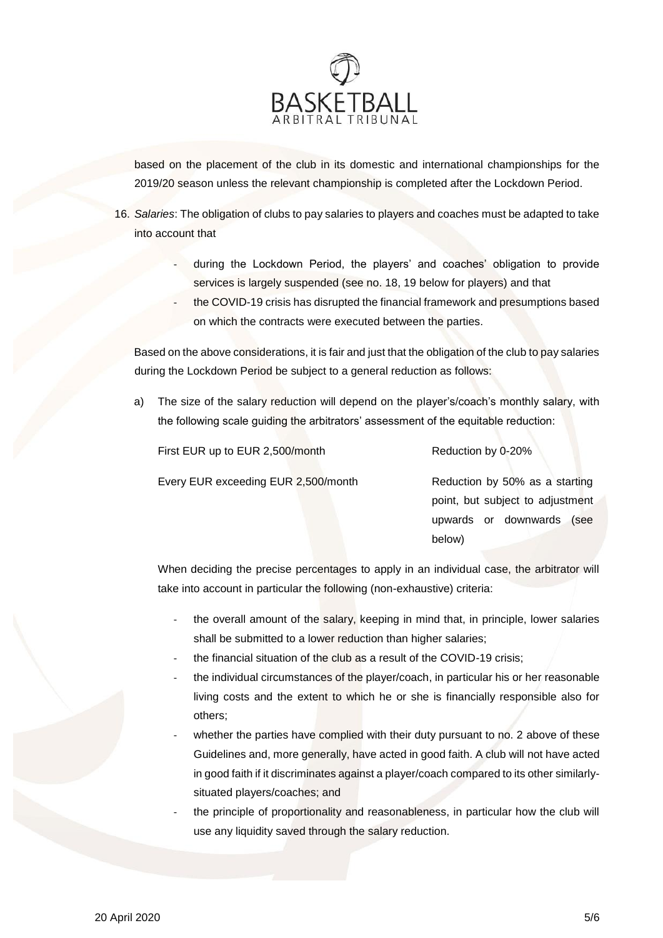

based on the placement of the club in its domestic and international championships for the 2019/20 season unless the relevant championship is completed after the Lockdown Period.

- 16. *Salaries*: The obligation of clubs to pay salaries to players and coaches must be adapted to take into account that
	- during the Lockdown Period, the players' and coaches' obligation to provide services is largely suspended (see no. 18, 19 below for players) and that
	- the COVID-19 crisis has disrupted the financial framework and presumptions based on which the contracts were executed between the parties.

Based on the above considerations, it is fair and just that the obligation of the club to pay salaries during the Lockdown Period be subject to a general reduction as follows:

a) The size of the salary reduction will depend on the player's/coach's monthly salary, with the following scale guiding the arbitrators' assessment of the equitable reduction:

| First EUR up to EUR 2,500/month     | Reduction by 0-20%               |
|-------------------------------------|----------------------------------|
| Every EUR exceeding EUR 2,500/month | Reduction by 50% as a starting   |
|                                     | point, but subject to adjustment |
|                                     | upwards or downwards<br>(see     |

When deciding the precise percentages to apply in an individual case, the arbitrator will take into account in particular the following (non-exhaustive) criteria:

below)

- the overall amount of the salary, keeping in mind that, in principle, lower salaries shall be submitted to a lower reduction than higher salaries;
- the financial situation of the club as a result of the COVID-19 crisis;
- the individual circumstances of the player/coach, in particular his or her reasonable living costs and the extent to which he or she is financially responsible also for others;
- whether the parties have complied with their duty pursuant to no. 2 above of these Guidelines and, more generally, have acted in good faith. A club will not have acted in good faith if it discriminates against a player/coach compared to its other similarlysituated players/coaches; and
- the principle of proportionality and reasonableness, in particular how the club will use any liquidity saved through the salary reduction.